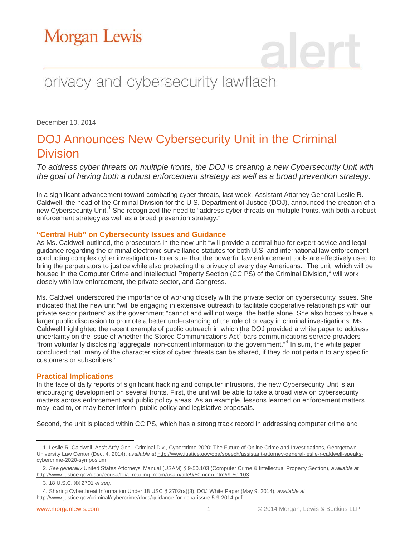# privacy and cybersecurity lawflash

December 10, 2014

### DOJ Announces New Cybersecurity Unit in the Criminal Division

*To address cyber threats on multiple fronts, the DOJ is creating a new Cybersecurity Unit with the goal of having both a robust enforcement strategy as well as a broad prevention strategy.*

In a significant advancement toward combating cyber threats, last week, Assistant Attorney General Leslie R. Caldwell, the head of the Criminal Division for the U.S. Department of Justice (DOJ), announced the creation of a new Cybersecurity Unit.<sup>[1](#page-0-0)</sup> She recognized the need to "address cyber threats on multiple fronts, with both a robust enforcement strategy as well as a broad prevention strategy."

#### **"Central Hub" on Cybersecurity Issues and Guidance**

As Ms. Caldwell outlined, the prosecutors in the new unit "will provide a central hub for expert advice and legal guidance regarding the criminal electronic surveillance statutes for both U.S. and international law enforcement conducting complex cyber investigations to ensure that the powerful law enforcement tools are effectively used to bring the perpetrators to justice while also protecting the privacy of every day Americans." The unit, which will be housed in the Computer Crime and Intellectual Property Section (CCIPS) of the Criminal Division,<sup>[2](#page-0-1)</sup> will work closely with law enforcement, the private sector, and Congress.

Ms. Caldwell underscored the importance of working closely with the private sector on cybersecurity issues. She indicated that the new unit "will be engaging in extensive outreach to facilitate cooperative relationships with our private sector partners" as the government "cannot and will not wage" the battle alone. She also hopes to have a larger public discussion to promote a better understanding of the role of privacy in criminal investigations. Ms. Caldwell highlighted the recent example of public outreach in which the DOJ provided a white paper to address uncertainty on the issue of whether the Stored Communications Act<sup>[3](#page-0-2)</sup> bars communications service providers "from voluntarily disclosing 'aggregate' non-content information to the government."[4](#page-0-3) In sum, the white paper concluded that "many of the characteristics of cyber threats can be shared, if they do not pertain to any specific customers or subscribers."

### **Practical Implications**

In the face of daily reports of significant hacking and computer intrusions, the new Cybersecurity Unit is an encouraging development on several fronts. First, the unit will be able to take a broad view on cybersecurity matters across enforcement and public policy areas. As an example, lessons learned on enforcement matters may lead to, or may better inform, public policy and legislative proposals.

Second, the unit is placed within CCIPS, which has a strong track record in addressing computer crime and

<span id="page-0-0"></span> $\overline{a}$ 1. Leslie R. Caldwell, Ass't Att'y Gen., Criminal Div., Cybercrime 2020: The Future of Online Crime and Investigations, Georgetown University Law Center (Dec. 4, 2014), *available at* [http://www.justice.gov/opa/speech/assistant-attorney-general-leslie-r-caldwell-speaks](http://www.justice.gov/opa/speech/assistant-attorney-general-leslie-r-caldwell-speaks-cybercrime-2020-symposium)[cybercrime-2020-symposium.](http://www.justice.gov/opa/speech/assistant-attorney-general-leslie-r-caldwell-speaks-cybercrime-2020-symposium)

<span id="page-0-1"></span><sup>2.</sup> *See generally* United States Attorneys' Manual (USAM) § 9-50.103 (Computer Crime & Intellectual Property Section), *available at* [http://www.justice.gov/usao/eousa/foia\\_reading\\_room/usam/title9/50mcrm.htm#9-50.103.](http://www.justice.gov/usao/eousa/foia_reading_room/usam/title9/50mcrm.htm#9-50.103) 

<sup>3. 18</sup> U.S.C. §§ 2701 *et seq*.

<span id="page-0-3"></span><span id="page-0-2"></span><sup>4.</sup> Sharing Cyberthreat Information Under 18 USC § 2702(a)(3), DOJ White Paper (May 9, 2014), *available at* [http://www.justice.gov/criminal/cybercrime/docs/guidance-for-ecpa-issue-5-9-2014.pdf.](http://www.justice.gov/criminal/cybercrime/docs/guidance-for-ecpa-issue-5-9-2014.pdf)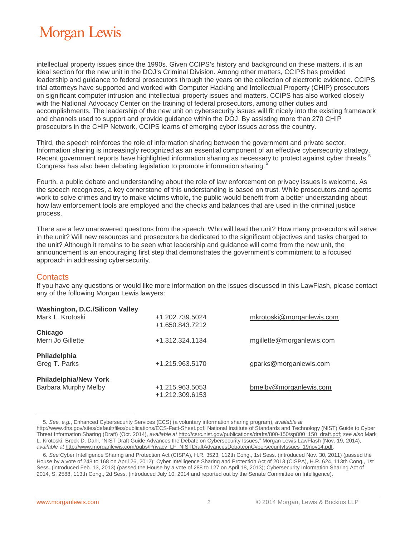# Morgan Lewis

intellectual property issues since the 1990s. Given CCIPS's history and background on these matters, it is an ideal section for the new unit in the DOJ's Criminal Division. Among other matters, CCIPS has provided leadership and guidance to federal prosecutors through the years on the collection of electronic evidence. CCIPS trial attorneys have supported and worked with Computer Hacking and Intellectual Property (CHIP) prosecutors on significant computer intrusion and intellectual property issues and matters. CCIPS has also worked closely with the National Advocacy Center on the training of federal prosecutors, among other duties and accomplishments. The leadership of the new unit on cybersecurity issues will fit nicely into the existing framework and channels used to support and provide guidance within the DOJ. By assisting more than 270 CHIP prosecutors in the CHIP Network, CCIPS learns of emerging cyber issues across the country.

Third, the speech reinforces the role of information sharing between the government and private sector. Information sharing is increasingly recognized as an essential component of an effective cybersecurity strategy. Recent government reports have highlighted information sharing as necessary to protect against cyber threats.<sup>[5](#page-1-0)</sup> Congress has also been debating legislation to promote information sharing.[6](#page-1-1)

Fourth, a public debate and understanding about the role of law enforcement on privacy issues is welcome. As the speech recognizes, a key cornerstone of this understanding is based on trust. While prosecutors and agents work to solve crimes and try to make victims whole, the public would benefit from a better understanding about how law enforcement tools are employed and the checks and balances that are used in the criminal justice process.

There are a few unanswered questions from the speech: Who will lead the unit? How many prosecutors will serve in the unit? Will new resources and prosecutors be dedicated to the significant objectives and tasks charged to the unit? Although it remains to be seen what leadership and guidance will come from the new unit, the announcement is an encouraging first step that demonstrates the government's commitment to a focused approach in addressing cybersecurity.

### **Contacts**

 $\overline{a}$ 

If you have any questions or would like more information on the issues discussed in this LawFlash, please contact any of the following Morgan Lewis lawyers:

| <b>Washington, D.C./Silicon Valley</b> |                 |                           |
|----------------------------------------|-----------------|---------------------------|
| Mark L. Krotoski                       | +1.202.739.5024 | mkrotoski@morganlewis.com |
|                                        | +1.650.843.7212 |                           |
| Chicago                                |                 |                           |
| Merri Jo Gillette                      | +1.312.324.1134 | mgillette@morganlewis.com |
| Philadelphia                           |                 |                           |
| Greg T. Parks                          | +1.215.963.5170 | gparks@morganlewis.com    |
| <b>Philadelphia/New York</b>           |                 |                           |
| Barbara Murphy Melby                   | +1.215.963.5053 | bmelby@morganlewis.com    |
|                                        | +1.212.309.6153 |                           |

<sup>5.</sup> *See, e.g.*, Enhanced Cybersecurity Services (ECS) (a voluntary information sharing program), *available at* 

<span id="page-1-0"></span>[http://www.dhs.gov/sites/default/files/publications/ECS-Fact-Sheet.pdf;](http://www.dhs.gov/sites/default/files/publications/ECS-Fact-Sheet.pdf) National Institute of Standards and Technology (NIST) Guide to Cyber Threat Information Sharing (Draft) (Oct. 2014), *available at* [http://csrc.nist.gov/publications/drafts/800-150/sp800\\_150\\_draft.pdf;](http://csrc.nist.gov/publications/drafts/800-150/sp800_150_draft.pdf) *see also* Mark L. Krotoski, Brock D. Dahl, "NIST Draft Guide Advances the Debate on Cybersecurity Issues," Morgan Lewis LawFlash (Nov. 19, 2014), *available at* [http://www.morganlewis.com/pubs/Privacy\\_LF\\_NISTDraftAdvancesDebateonCybersecurityIssues\\_19nov14.pdf.](http://www.morganlewis.com/pubs/Privacy_LF_NISTDraftAdvancesDebateonCybersecurityIssues_19nov14.pdf)

<span id="page-1-1"></span><sup>6.</sup> *See* Cyber Intelligence Sharing and Protection Act (CISPA), H.R. 3523, 112th Cong., 1st Sess. (introduced Nov. 30, 2011) (passed the House by a vote of 248 to 168 on April 26, 2012); Cyber Intelligence Sharing and Protection Act of 2013 (CISPA), H.R. 624, 113th Cong., 1st Sess. (introduced Feb. 13, 2013) (passed the House by a vote of 288 to 127 on April 18, 2013); Cybersecurity Information Sharing Act of 2014, S. 2588, 113th Cong., 2d Sess. (introduced July 10, 2014 and reported out by the Senate Committee on Intelligence).